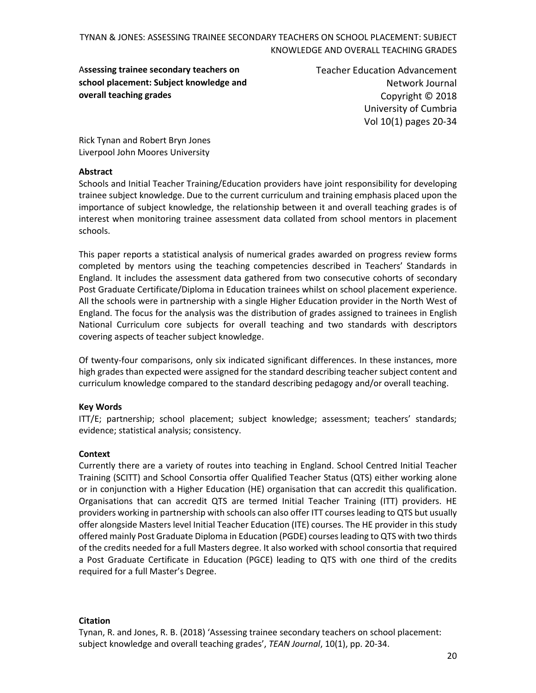A**ssessing trainee secondary teachers on school placement: Subject knowledge and overall teaching grades**

Teacher Education Advancement Network Journal Copyright © 2018 University of Cumbria Vol 10(1) pages 20-34

Rick Tynan and Robert Bryn Jones Liverpool John Moores University

#### **Abstract**

Schools and Initial Teacher Training/Education providers have joint responsibility for developing trainee subject knowledge. Due to the current curriculum and training emphasis placed upon the importance of subject knowledge, the relationship between it and overall teaching grades is of interest when monitoring trainee assessment data collated from school mentors in placement schools.

This paper reports a statistical analysis of numerical grades awarded on progress review forms completed by mentors using the teaching competencies described in Teachers' Standards in England. It includes the assessment data gathered from two consecutive cohorts of secondary Post Graduate Certificate/Diploma in Education trainees whilst on school placement experience. All the schools were in partnership with a single Higher Education provider in the North West of England. The focus for the analysis was the distribution of grades assigned to trainees in English National Curriculum core subjects for overall teaching and two standards with descriptors covering aspects of teacher subject knowledge.

Of twenty-four comparisons, only six indicated significant differences. In these instances, more high grades than expected were assigned for the standard describing teacher subject content and curriculum knowledge compared to the standard describing pedagogy and/or overall teaching.

#### **Key Words**

ITT/E; partnership; school placement; subject knowledge; assessment; teachers' standards; evidence; statistical analysis; consistency.

#### **Context**

Currently there are a variety of routes into teaching in England. School Centred Initial Teacher Training (SCITT) and School Consortia offer Qualified Teacher Status (QTS) either working alone or in conjunction with a Higher Education (HE) organisation that can accredit this qualification. Organisations that can accredit QTS are termed Initial Teacher Training (ITT) providers. HE providers working in partnership with schools can also offer ITT courses leading to QTS but usually offer alongside Masters level Initial Teacher Education (ITE) courses. The HE provider in this study offered mainly Post Graduate Diploma in Education (PGDE) courses leading to QTS with two thirds of the credits needed for a full Masters degree. It also worked with school consortia that required a Post Graduate Certificate in Education (PGCE) leading to QTS with one third of the credits required for a full Master's Degree.

#### **Citation**

Tynan, R. and Jones, R. B. (2018) 'Assessing trainee secondary teachers on school placement: subject knowledge and overall teaching grades', *TEAN Journal*, 10(1), pp. 20-34.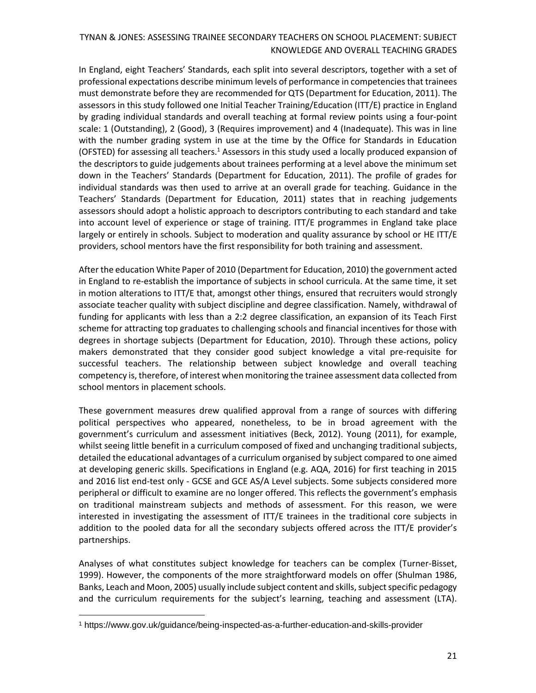In England, eight Teachers' Standards, each split into several descriptors, together with a set of professional expectations describe minimum levels of performance in competencies that trainees must demonstrate before they are recommended for QTS (Department for Education, 2011). The assessors in this study followed one Initial Teacher Training/Education (ITT/E) practice in England by grading individual standards and overall teaching at formal review points using a four-point scale: 1 (Outstanding), 2 (Good), 3 (Requires improvement) and 4 (Inadequate). This was in line with the number grading system in use at the time by the Office for Standards in Education (OFSTED) for assessing all teachers. $1$  Assessors in this study used a locally produced expansion of the descriptors to guide judgements about trainees performing at a level above the minimum set down in the Teachers' Standards (Department for Education, 2011). The profile of grades for individual standards was then used to arrive at an overall grade for teaching. Guidance in the Teachers' Standards (Department for Education, 2011) states that in reaching judgements assessors should adopt a holistic approach to descriptors contributing to each standard and take into account level of experience or stage of training. ITT/E programmes in England take place largely or entirely in schools. Subject to moderation and quality assurance by school or HE ITT/E providers, school mentors have the first responsibility for both training and assessment.

After the education White Paper of 2010 (Department for Education, 2010) the government acted in England to re-establish the importance of subjects in school curricula. At the same time, it set in motion alterations to ITT/E that, amongst other things, ensured that recruiters would strongly associate teacher quality with subject discipline and degree classification. Namely, withdrawal of funding for applicants with less than a 2:2 degree classification, an expansion of its Teach First scheme for attracting top graduates to challenging schools and financial incentives for those with degrees in shortage subjects (Department for Education, 2010). Through these actions, policy makers demonstrated that they consider good subject knowledge a vital pre-requisite for successful teachers. The relationship between subject knowledge and overall teaching competency is, therefore, of interest when monitoring the trainee assessment data collected from school mentors in placement schools.

These government measures drew qualified approval from a range of sources with differing political perspectives who appeared, nonetheless, to be in broad agreement with the government's curriculum and assessment initiatives (Beck, 2012). Young (2011), for example, whilst seeing little benefit in a curriculum composed of fixed and unchanging traditional subjects, detailed the educational advantages of a curriculum organised by subject compared to one aimed at developing generic skills. Specifications in England (e.g. AQA, 2016) for first teaching in 2015 and 2016 list end-test only - GCSE and GCE AS/A Level subjects. Some subjects considered more peripheral or difficult to examine are no longer offered. This reflects the government's emphasis on traditional mainstream subjects and methods of assessment. For this reason, we were interested in investigating the assessment of ITT/E trainees in the traditional core subjects in addition to the pooled data for all the secondary subjects offered across the ITT/E provider's partnerships.

Analyses of what constitutes subject knowledge for teachers can be complex (Turner-Bisset, 1999). However, the components of the more straightforward models on offer (Shulman 1986, Banks, Leach and Moon, 2005) usually include subject content and skills, subject specific pedagogy and the curriculum requirements for the subject's learning, teaching and assessment (LTA).

 $\overline{a}$ 

<sup>1</sup> https://www.gov.uk/guidance/being-inspected-as-a-further-education-and-skills-provider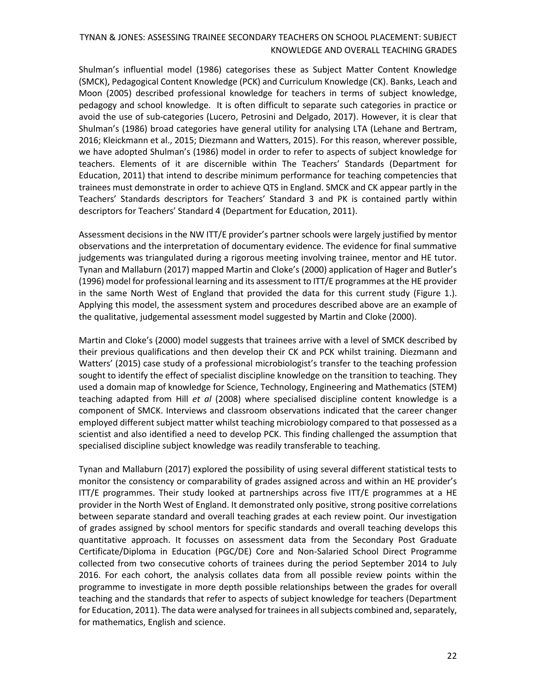Shulman's influential model (1986) categorises these as Subject Matter Content Knowledge (SMCK), Pedagogical Content Knowledge (PCK) and Curriculum Knowledge (CK). Banks, Leach and Moon (2005) described professional knowledge for teachers in terms of subject knowledge, pedagogy and school knowledge. It is often difficult to separate such categories in practice or avoid the use of sub-categories (Lucero, Petrosini and Delgado, 2017). However, it is clear that Shulman's (1986) broad categories have general utility for analysing LTA (Lehane and Bertram, 2016; Kleickmann et al., 2015; Diezmann and Watters, 2015). For this reason, wherever possible, we have adopted Shulman's (1986) model in order to refer to aspects of subject knowledge for teachers. Elements of it are discernible within The Teachers' Standards (Department for Education, 2011) that intend to describe minimum performance for teaching competencies that trainees must demonstrate in order to achieve QTS in England. SMCK and CK appear partly in the Teachers' Standards descriptors for Teachers' Standard 3 and PK is contained partly within descriptors for Teachers' Standard 4 (Department for Education, 2011).

Assessment decisions in the NW ITT/E provider's partner schools were largely justified by mentor observations and the interpretation of documentary evidence. The evidence for final summative judgements was triangulated during a rigorous meeting involving trainee, mentor and HE tutor. Tynan and Mallaburn (2017) mapped Martin and Cloke's (2000) application of Hager and Butler's (1996) model for professional learning and its assessment to ITT/E programmes at the HE provider in the same North West of England that provided the data for this current study (Figure 1.). Applying this model, the assessment system and procedures described above are an example of the qualitative, judgemental assessment model suggested by Martin and Cloke (2000).

Martin and Cloke's (2000) model suggests that trainees arrive with a level of SMCK described by their previous qualifications and then develop their CK and PCK whilst training. Diezmann and Watters' (2015) case study of a professional microbiologist's transfer to the teaching profession sought to identify the effect of specialist discipline knowledge on the transition to teaching. They used a domain map of knowledge for Science, Technology, Engineering and Mathematics (STEM) teaching adapted from Hill *et al* (2008) where specialised discipline content knowledge is a component of SMCK. Interviews and classroom observations indicated that the career changer employed different subject matter whilst teaching microbiology compared to that possessed as a scientist and also identified a need to develop PCK. This finding challenged the assumption that specialised discipline subject knowledge was readily transferable to teaching.

Tynan and Mallaburn (2017) explored the possibility of using several different statistical tests to monitor the consistency or comparability of grades assigned across and within an HE provider's ITT/E programmes. Their study looked at partnerships across five ITT/E programmes at a HE provider in the North West of England. It demonstrated only positive, strong positive correlations between separate standard and overall teaching grades at each review point. Our investigation of grades assigned by school mentors for specific standards and overall teaching develops this quantitative approach. It focusses on assessment data from the Secondary Post Graduate Certificate/Diploma in Education (PGC/DE) Core and Non-Salaried School Direct Programme collected from two consecutive cohorts of trainees during the period September 2014 to July 2016. For each cohort, the analysis collates data from all possible review points within the programme to investigate in more depth possible relationships between the grades for overall teaching and the standards that refer to aspects of subject knowledge for teachers (Department for Education, 2011). The data were analysed for trainees in all subjects combined and, separately, for mathematics, English and science.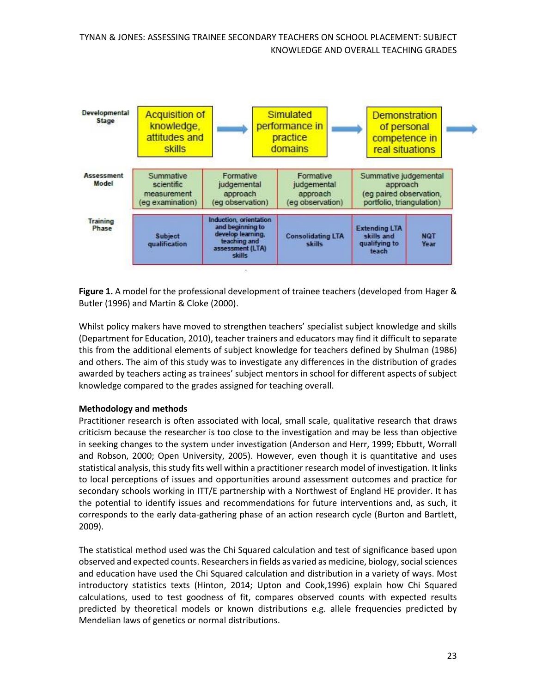

**Figure 1.** A model for the professional development of trainee teachers (developed from Hager & Butler (1996) and Martin & Cloke (2000).

Whilst policy makers have moved to strengthen teachers' specialist subject knowledge and skills (Department for Education, 2010), teacher trainers and educators may find it difficult to separate this from the additional elements of subject knowledge for teachers defined by Shulman (1986) and others. The aim of this study was to investigate any differences in the distribution of grades awarded by teachers acting as trainees' subject mentors in school for different aspects of subject knowledge compared to the grades assigned for teaching overall.

#### **Methodology and methods**

Practitioner research is often associated with local, small scale, qualitative research that draws criticism because the researcher is too close to the investigation and may be less than objective in seeking changes to the system under investigation (Anderson and Herr, 1999; Ebbutt, Worrall and Robson, 2000; Open University, 2005). However, even though it is quantitative and uses statistical analysis, this study fits well within a practitioner research model of investigation. It links to local perceptions of issues and opportunities around assessment outcomes and practice for secondary schools working in ITT/E partnership with a Northwest of England HE provider. It has the potential to identify issues and recommendations for future interventions and, as such, it corresponds to the early data-gathering phase of an action research cycle (Burton and Bartlett, 2009).

The statistical method used was the Chi Squared calculation and test of significance based upon observed and expected counts. Researchers in fields as varied as medicine, biology, social sciences and education have used the Chi Squared calculation and distribution in a variety of ways. Most introductory statistics texts (Hinton, 2014; Upton and Cook,1996) explain how Chi Squared calculations, used to test goodness of fit, compares observed counts with expected results predicted by theoretical models or known distributions e.g. allele frequencies predicted by Mendelian laws of genetics or normal distributions.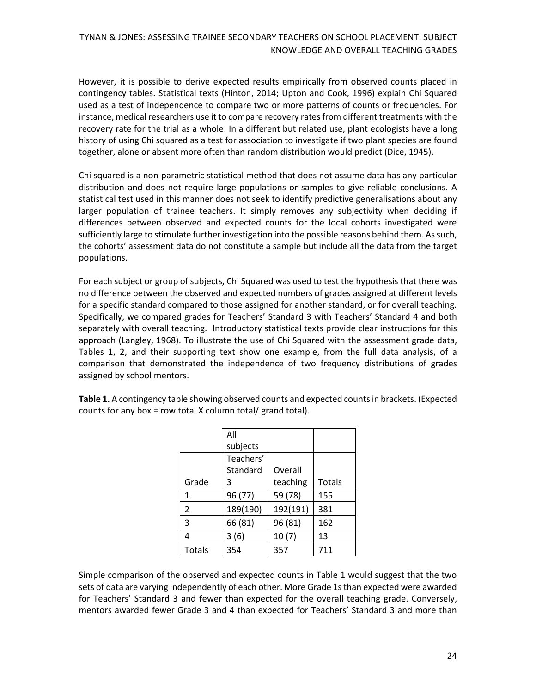However, it is possible to derive expected results empirically from observed counts placed in contingency tables. Statistical texts (Hinton, 2014; Upton and Cook, 1996) explain Chi Squared used as a test of independence to compare two or more patterns of counts or frequencies. For instance, medical researchers use it to compare recovery rates from different treatments with the recovery rate for the trial as a whole. In a different but related use, plant ecologists have a long history of using Chi squared as a test for association to investigate if two plant species are found together, alone or absent more often than random distribution would predict (Dice, 1945).

Chi squared is a non-parametric statistical method that does not assume data has any particular distribution and does not require large populations or samples to give reliable conclusions. A statistical test used in this manner does not seek to identify predictive generalisations about any larger population of trainee teachers. It simply removes any subjectivity when deciding if differences between observed and expected counts for the local cohorts investigated were sufficiently large to stimulate further investigation into the possible reasons behind them. As such, the cohorts' assessment data do not constitute a sample but include all the data from the target populations.

For each subject or group of subjects, Chi Squared was used to test the hypothesis that there was no difference between the observed and expected numbers of grades assigned at different levels for a specific standard compared to those assigned for another standard, or for overall teaching. Specifically, we compared grades for Teachers' Standard 3 with Teachers' Standard 4 and both separately with overall teaching. Introductory statistical texts provide clear instructions for this approach (Langley, 1968). To illustrate the use of Chi Squared with the assessment grade data, Tables 1, 2, and their supporting text show one example, from the full data analysis, of a comparison that demonstrated the independence of two frequency distributions of grades assigned by school mentors.

**Table 1.** A contingency table showing observed counts and expected counts in brackets. (Expected counts for any box = row total X column total/ grand total).

|                | All                 |          |        |
|----------------|---------------------|----------|--------|
|                | subjects            |          |        |
|                | Teachers'           |          |        |
|                | Overall<br>Standard |          |        |
| Grade          | 3                   | teaching | Totals |
| 1              | 96 (77)             | 59 (78)  | 155    |
| $\overline{2}$ | 189(190)            | 192(191) | 381    |
| 3              | 66 (81)             | 96 (81)  | 162    |
| 4              | 3(6)                | 10(7)    | 13     |
| <b>Totals</b>  | 354                 | 357      | 711    |

Simple comparison of the observed and expected counts in Table 1 would suggest that the two sets of data are varying independently of each other. More Grade 1s than expected were awarded for Teachers' Standard 3 and fewer than expected for the overall teaching grade. Conversely, mentors awarded fewer Grade 3 and 4 than expected for Teachers' Standard 3 and more than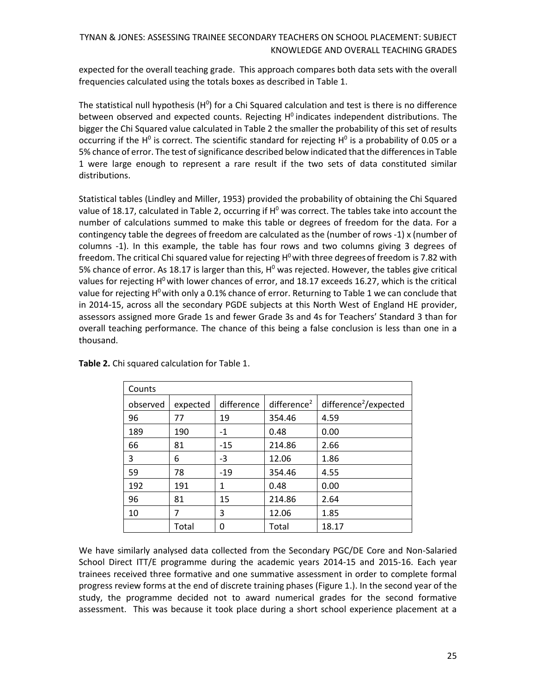expected for the overall teaching grade. This approach compares both data sets with the overall frequencies calculated using the totals boxes as described in Table 1.

The statistical null hypothesis ( $H^0$ ) for a Chi Squared calculation and test is there is no difference between observed and expected counts. Rejecting  $H^0$  indicates independent distributions. The bigger the Chi Squared value calculated in Table 2 the smaller the probability of this set of results occurring if the H<sup>0</sup> is correct. The scientific standard for rejecting H<sup>0</sup> is a probability of 0.05 or a 5% chance of error. The test of significance described below indicated that the differences in Table 1 were large enough to represent a rare result if the two sets of data constituted similar distributions.

Statistical tables (Lindley and Miller, 1953) provided the probability of obtaining the Chi Squared value of 18.17, calculated in Table 2, occurring if  $H^0$  was correct. The tables take into account the number of calculations summed to make this table or degrees of freedom for the data. For a contingency table the degrees of freedom are calculated as the (number of rows -1) x (number of columns -1). In this example, the table has four rows and two columns giving 3 degrees of freedom. The critical Chi squared value for rejecting  $H^0$  with three degrees of freedom is 7.82 with 5% chance of error. As 18.17 is larger than this,  $H^0$  was rejected. However, the tables give critical values for rejecting H<sup>o</sup> with lower chances of error, and 18.17 exceeds 16.27, which is the critical value for rejecting  $H^0$  with only a 0.1% chance of error. Returning to Table 1 we can conclude that in 2014-15, across all the secondary PGDE subjects at this North West of England HE provider, assessors assigned more Grade 1s and fewer Grade 3s and 4s for Teachers' Standard 3 than for overall teaching performance. The chance of this being a false conclusion is less than one in a thousand.

| Counts   |          |            |                         |                                   |
|----------|----------|------------|-------------------------|-----------------------------------|
| observed | expected | difference | difference <sup>2</sup> | difference <sup>2</sup> /expected |
| 96       | 77       | 19         | 354.46                  | 4.59                              |
| 189      | 190      | $-1$       | 0.48                    | 0.00                              |
| 66       | 81       | $-15$      | 214.86                  | 2.66                              |
| 3        | 6        | $-3$       | 12.06                   | 1.86                              |
| 59       | 78       | $-19$      | 354.46                  | 4.55                              |
| 192      | 191      | 1          | 0.48                    | 0.00                              |
| 96       | 81       | 15         | 214.86                  | 2.64                              |
| 10       | 7        | 3          | 12.06                   | 1.85                              |
|          | Total    | 0          | Total                   | 18.17                             |

**Table 2.** Chi squared calculation for Table 1.

We have similarly analysed data collected from the Secondary PGC/DE Core and Non-Salaried School Direct ITT/E programme during the academic years 2014-15 and 2015-16. Each year trainees received three formative and one summative assessment in order to complete formal progress review forms at the end of discrete training phases (Figure 1.). In the second year of the study, the programme decided not to award numerical grades for the second formative assessment. This was because it took place during a short school experience placement at a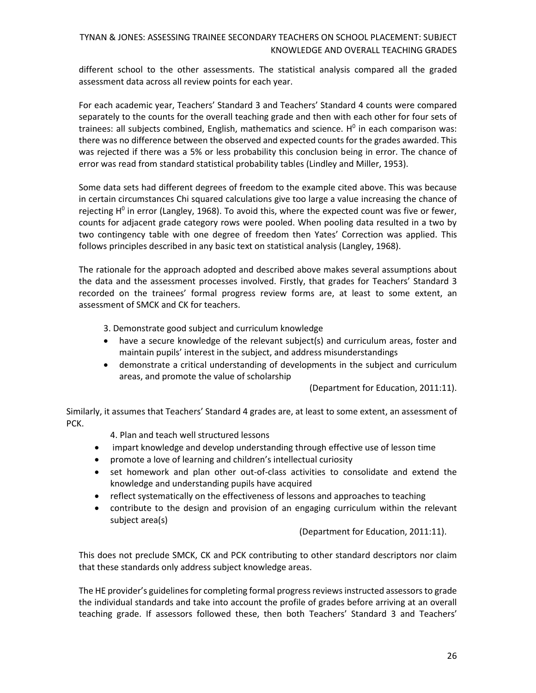different school to the other assessments. The statistical analysis compared all the graded assessment data across all review points for each year.

For each academic year, Teachers' Standard 3 and Teachers' Standard 4 counts were compared separately to the counts for the overall teaching grade and then with each other for four sets of trainees: all subjects combined, English, mathematics and science.  $H^0$  in each comparison was: there was no difference between the observed and expected counts for the grades awarded. This was rejected if there was a 5% or less probability this conclusion being in error. The chance of error was read from standard statistical probability tables (Lindley and Miller, 1953).

Some data sets had different degrees of freedom to the example cited above. This was because in certain circumstances Chi squared calculations give too large a value increasing the chance of rejecting  $H^0$  in error (Langley, 1968). To avoid this, where the expected count was five or fewer, counts for adjacent grade category rows were pooled. When pooling data resulted in a two by two contingency table with one degree of freedom then Yates' Correction was applied. This follows principles described in any basic text on statistical analysis (Langley, 1968).

The rationale for the approach adopted and described above makes several assumptions about the data and the assessment processes involved. Firstly, that grades for Teachers' Standard 3 recorded on the trainees' formal progress review forms are, at least to some extent, an assessment of SMCK and CK for teachers.

3. Demonstrate good subject and curriculum knowledge

- have a secure knowledge of the relevant subject(s) and curriculum areas, foster and maintain pupils' interest in the subject, and address misunderstandings
- demonstrate a critical understanding of developments in the subject and curriculum areas, and promote the value of scholarship

(Department for Education, 2011:11).

Similarly, it assumes that Teachers' Standard 4 grades are, at least to some extent, an assessment of PCK.

4. Plan and teach well structured lessons

- impart knowledge and develop understanding through effective use of lesson time
- promote a love of learning and children's intellectual curiosity
- set homework and plan other out-of-class activities to consolidate and extend the knowledge and understanding pupils have acquired
- reflect systematically on the effectiveness of lessons and approaches to teaching
- contribute to the design and provision of an engaging curriculum within the relevant subject area(s)

(Department for Education, 2011:11).

This does not preclude SMCK, CK and PCK contributing to other standard descriptors nor claim that these standards only address subject knowledge areas.

The HE provider's guidelines for completing formal progress reviews instructed assessors to grade the individual standards and take into account the profile of grades before arriving at an overall teaching grade. If assessors followed these, then both Teachers' Standard 3 and Teachers'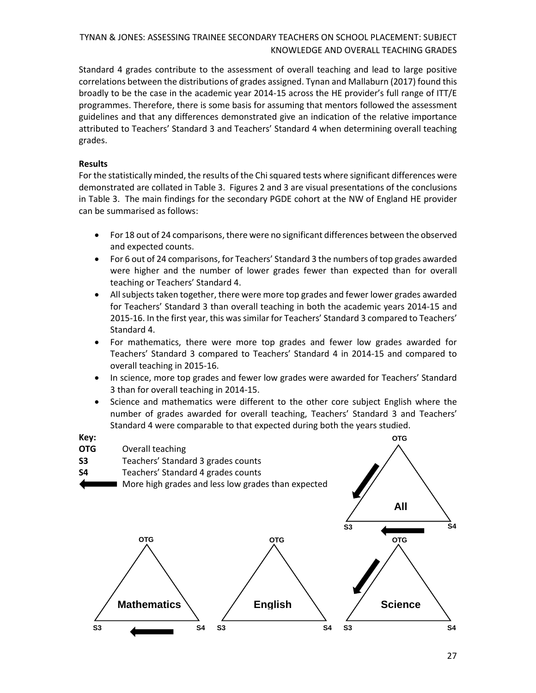Standard 4 grades contribute to the assessment of overall teaching and lead to large positive correlations between the distributions of grades assigned. Tynan and Mallaburn (2017) found this broadly to be the case in the academic year 2014-15 across the HE provider's full range of ITT/E programmes. Therefore, there is some basis for assuming that mentors followed the assessment guidelines and that any differences demonstrated give an indication of the relative importance attributed to Teachers' Standard 3 and Teachers' Standard 4 when determining overall teaching grades.

#### **Results**

For the statistically minded, the results of the Chi squared tests where significant differences were demonstrated are collated in Table 3. Figures 2 and 3 are visual presentations of the conclusions in Table 3. The main findings for the secondary PGDE cohort at the NW of England HE provider can be summarised as follows:

- For 18 out of 24 comparisons, there were no significant differences between the observed and expected counts.
- For 6 out of 24 comparisons, for Teachers' Standard 3 the numbers of top grades awarded were higher and the number of lower grades fewer than expected than for overall teaching or Teachers' Standard 4.
- All subjects taken together, there were more top grades and fewer lower grades awarded for Teachers' Standard 3 than overall teaching in both the academic years 2014-15 and 2015-16. In the first year, this was similar for Teachers' Standard 3 compared to Teachers' Standard 4.
- For mathematics, there were more top grades and fewer low grades awarded for Teachers' Standard 3 compared to Teachers' Standard 4 in 2014-15 and compared to overall teaching in 2015-16.
- In science, more top grades and fewer low grades were awarded for Teachers' Standard 3 than for overall teaching in 2014-15.
- Science and mathematics were different to the other core subject English where the number of grades awarded for overall teaching, Teachers' Standard 3 and Teachers' Standard 4 were comparable to that expected during both the years studied.

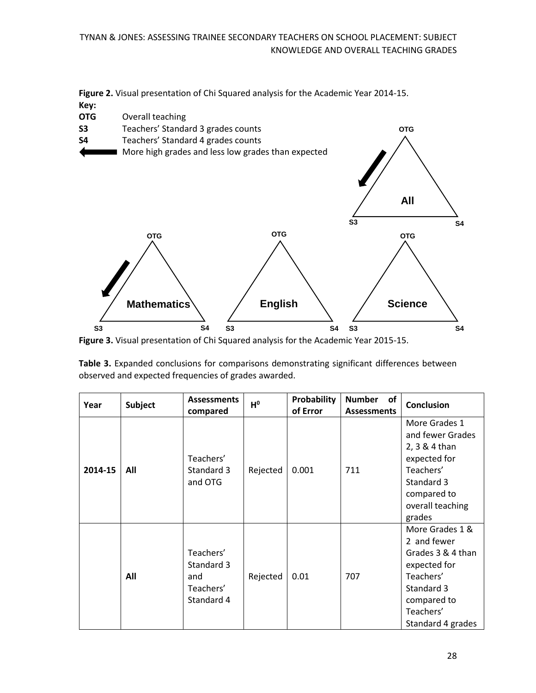**Figure 2.** Visual presentation of Chi Squared analysis for the Academic Year 2014-15. **Key:**



**Figure 3.** Visual presentation of Chi Squared analysis for the Academic Year 2015-15.

**Table 3.** Expanded conclusions for comparisons demonstrating significant differences between observed and expected frequencies of grades awarded.

| Year    | <b>Subject</b> | <b>Assessments</b><br>compared                            | $H^0$    | <b>Probability</b><br>of Error | <b>Number</b><br>of<br><b>Assessments</b> | <b>Conclusion</b>                                                                                                                               |
|---------|----------------|-----------------------------------------------------------|----------|--------------------------------|-------------------------------------------|-------------------------------------------------------------------------------------------------------------------------------------------------|
| 2014-15 | All            | Teachers'<br>Standard 3<br>and OTG                        | Rejected | 0.001                          | 711                                       | More Grades 1<br>and fewer Grades<br>2, 3 & 4 than<br>expected for<br>Teachers'<br>Standard 3<br>compared to<br>overall teaching<br>grades      |
|         | All            | Teachers'<br>Standard 3<br>and<br>Teachers'<br>Standard 4 | Rejected | 0.01                           | 707                                       | More Grades 1 &<br>2 and fewer<br>Grades 3 & 4 than<br>expected for<br>Teachers'<br>Standard 3<br>compared to<br>Teachers'<br>Standard 4 grades |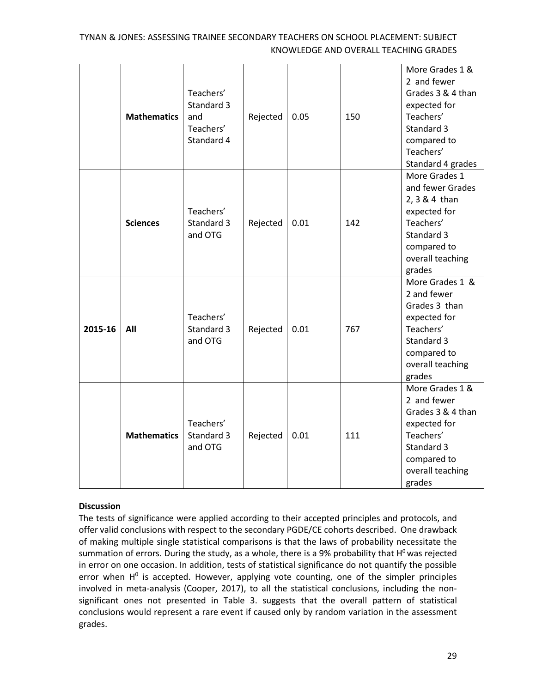|         | <b>Mathematics</b> | Teachers'<br>Standard 3<br>and<br>Teachers'<br>Standard 4 | Rejected | 0.05 | 150 | More Grades 1 &<br>2 and fewer<br>Grades 3 & 4 than<br>expected for<br>Teachers'<br>Standard 3<br>compared to<br>Teachers'<br>Standard 4 grades |
|---------|--------------------|-----------------------------------------------------------|----------|------|-----|-------------------------------------------------------------------------------------------------------------------------------------------------|
|         | <b>Sciences</b>    | Teachers'<br>Standard 3<br>and OTG                        | Rejected | 0.01 | 142 | More Grades 1<br>and fewer Grades<br>2, 3 & 4 than<br>expected for<br>Teachers'<br>Standard 3<br>compared to<br>overall teaching<br>grades      |
| 2015-16 | All                | Teachers'<br>Standard 3<br>and OTG                        | Rejected | 0.01 | 767 | More Grades 1 &<br>2 and fewer<br>Grades 3 than<br>expected for<br>Teachers'<br>Standard 3<br>compared to<br>overall teaching<br>grades         |
|         | <b>Mathematics</b> | Teachers'<br>Standard 3<br>and OTG                        | Rejected | 0.01 | 111 | More Grades 1 &<br>2 and fewer<br>Grades 3 & 4 than<br>expected for<br>Teachers'<br>Standard 3<br>compared to<br>overall teaching<br>grades     |

#### **Discussion**

The tests of significance were applied according to their accepted principles and protocols, and offer valid conclusions with respect to the secondary PGDE/CE cohorts described. One drawback of making multiple single statistical comparisons is that the laws of probability necessitate the summation of errors. During the study, as a whole, there is a 9% probability that  $H^0$  was rejected in error on one occasion. In addition, tests of statistical significance do not quantify the possible error when  $H^0$  is accepted. However, applying vote counting, one of the simpler principles involved in meta-analysis (Cooper, 2017), to all the statistical conclusions, including the nonsignificant ones not presented in Table 3. suggests that the overall pattern of statistical conclusions would represent a rare event if caused only by random variation in the assessment grades.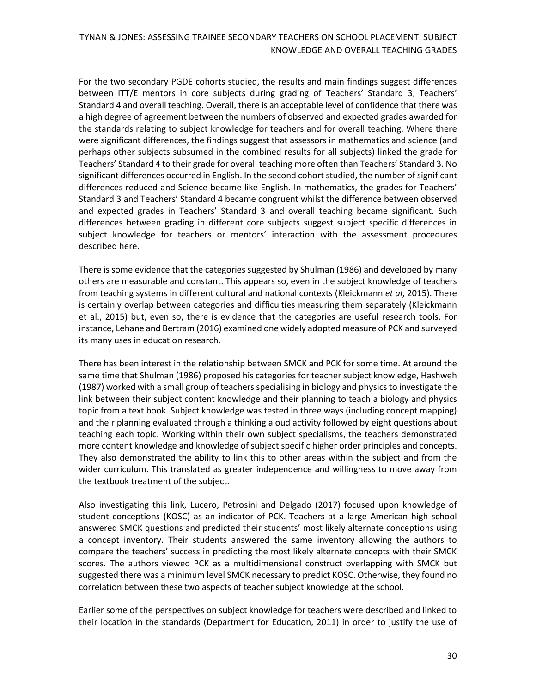For the two secondary PGDE cohorts studied, the results and main findings suggest differences between ITT/E mentors in core subjects during grading of Teachers' Standard 3, Teachers' Standard 4 and overall teaching. Overall, there is an acceptable level of confidence that there was a high degree of agreement between the numbers of observed and expected grades awarded for the standards relating to subject knowledge for teachers and for overall teaching. Where there were significant differences, the findings suggest that assessors in mathematics and science (and perhaps other subjects subsumed in the combined results for all subjects) linked the grade for Teachers' Standard 4 to their grade for overall teaching more often than Teachers' Standard 3. No significant differences occurred in English. In the second cohort studied, the number of significant differences reduced and Science became like English. In mathematics, the grades for Teachers' Standard 3 and Teachers' Standard 4 became congruent whilst the difference between observed and expected grades in Teachers' Standard 3 and overall teaching became significant. Such differences between grading in different core subjects suggest subject specific differences in subject knowledge for teachers or mentors' interaction with the assessment procedures described here.

There is some evidence that the categories suggested by Shulman (1986) and developed by many others are measurable and constant. This appears so, even in the subject knowledge of teachers from teaching systems in different cultural and national contexts (Kleickmann *et al*, 2015). There is certainly overlap between categories and difficulties measuring them separately (Kleickmann et al., 2015) but, even so, there is evidence that the categories are useful research tools. For instance, Lehane and Bertram (2016) examined one widely adopted measure of PCK and surveyed its many uses in education research.

There has been interest in the relationship between SMCK and PCK for some time. At around the same time that Shulman (1986) proposed his categories for teacher subject knowledge, Hashweh (1987) worked with a small group of teachers specialising in biology and physics to investigate the link between their subject content knowledge and their planning to teach a biology and physics topic from a text book. Subject knowledge was tested in three ways (including concept mapping) and their planning evaluated through a thinking aloud activity followed by eight questions about teaching each topic. Working within their own subject specialisms, the teachers demonstrated more content knowledge and knowledge of subject specific higher order principles and concepts. They also demonstrated the ability to link this to other areas within the subject and from the wider curriculum. This translated as greater independence and willingness to move away from the textbook treatment of the subject.

Also investigating this link, Lucero, Petrosini and Delgado (2017) focused upon knowledge of student conceptions (KOSC) as an indicator of PCK. Teachers at a large American high school answered SMCK questions and predicted their students' most likely alternate conceptions using a concept inventory. Their students answered the same inventory allowing the authors to compare the teachers' success in predicting the most likely alternate concepts with their SMCK scores. The authors viewed PCK as a multidimensional construct overlapping with SMCK but suggested there was a minimum level SMCK necessary to predict KOSC. Otherwise, they found no correlation between these two aspects of teacher subject knowledge at the school.

Earlier some of the perspectives on subject knowledge for teachers were described and linked to their location in the standards (Department for Education, 2011) in order to justify the use of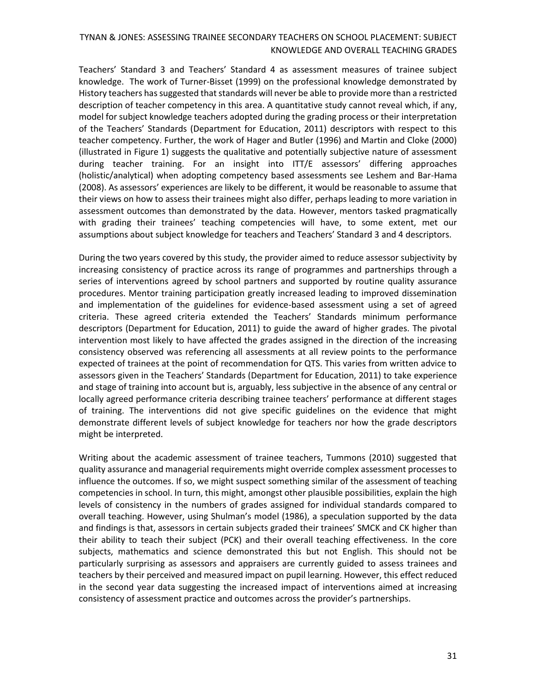Teachers' Standard 3 and Teachers' Standard 4 as assessment measures of trainee subject knowledge. The work of Turner-Bisset (1999) on the professional knowledge demonstrated by History teachers has suggested that standards will never be able to provide more than a restricted description of teacher competency in this area. A quantitative study cannot reveal which, if any, model for subject knowledge teachers adopted during the grading process or their interpretation of the Teachers' Standards (Department for Education, 2011) descriptors with respect to this teacher competency. Further, the work of Hager and Butler (1996) and Martin and Cloke (2000) (illustrated in Figure 1) suggests the qualitative and potentially subjective nature of assessment during teacher training. For an insight into ITT/E assessors' differing approaches (holistic/analytical) when adopting competency based assessments see Leshem and Bar-Hama (2008). As assessors' experiences are likely to be different, it would be reasonable to assume that their views on how to assess their trainees might also differ, perhaps leading to more variation in assessment outcomes than demonstrated by the data. However, mentors tasked pragmatically with grading their trainees' teaching competencies will have, to some extent, met our assumptions about subject knowledge for teachers and Teachers' Standard 3 and 4 descriptors.

During the two years covered by this study, the provider aimed to reduce assessor subjectivity by increasing consistency of practice across its range of programmes and partnerships through a series of interventions agreed by school partners and supported by routine quality assurance procedures. Mentor training participation greatly increased leading to improved dissemination and implementation of the guidelines for evidence-based assessment using a set of agreed criteria. These agreed criteria extended the Teachers' Standards minimum performance descriptors (Department for Education, 2011) to guide the award of higher grades. The pivotal intervention most likely to have affected the grades assigned in the direction of the increasing consistency observed was referencing all assessments at all review points to the performance expected of trainees at the point of recommendation for QTS. This varies from written advice to assessors given in the Teachers' Standards (Department for Education, 2011) to take experience and stage of training into account but is, arguably, less subjective in the absence of any central or locally agreed performance criteria describing trainee teachers' performance at different stages of training. The interventions did not give specific guidelines on the evidence that might demonstrate different levels of subject knowledge for teachers nor how the grade descriptors might be interpreted.

Writing about the academic assessment of trainee teachers, Tummons (2010) suggested that quality assurance and managerial requirements might override complex assessment processes to influence the outcomes. If so, we might suspect something similar of the assessment of teaching competencies in school. In turn, this might, amongst other plausible possibilities, explain the high levels of consistency in the numbers of grades assigned for individual standards compared to overall teaching. However, using Shulman's model (1986), a speculation supported by the data and findings is that, assessors in certain subjects graded their trainees' SMCK and CK higher than their ability to teach their subject (PCK) and their overall teaching effectiveness. In the core subjects, mathematics and science demonstrated this but not English. This should not be particularly surprising as assessors and appraisers are currently guided to assess trainees and teachers by their perceived and measured impact on pupil learning. However, this effect reduced in the second year data suggesting the increased impact of interventions aimed at increasing consistency of assessment practice and outcomes across the provider's partnerships.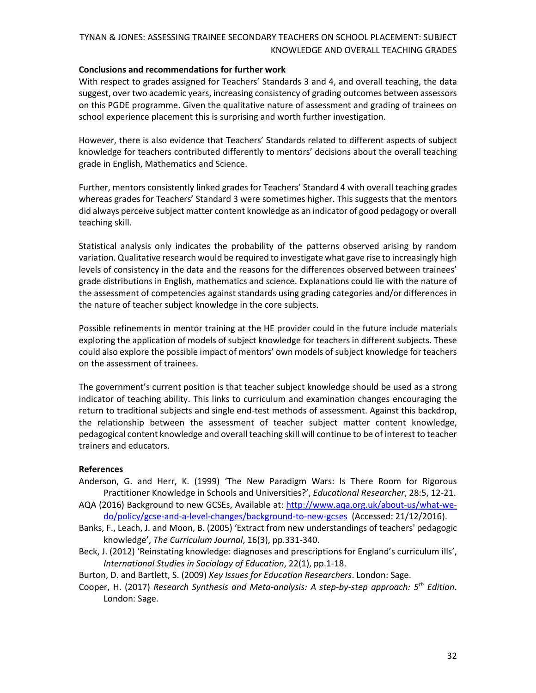#### **Conclusions and recommendations for further work**

With respect to grades assigned for Teachers' Standards 3 and 4, and overall teaching, the data suggest, over two academic years, increasing consistency of grading outcomes between assessors on this PGDE programme. Given the qualitative nature of assessment and grading of trainees on school experience placement this is surprising and worth further investigation.

However, there is also evidence that Teachers' Standards related to different aspects of subject knowledge for teachers contributed differently to mentors' decisions about the overall teaching grade in English, Mathematics and Science.

Further, mentors consistently linked grades for Teachers' Standard 4 with overall teaching grades whereas grades for Teachers' Standard 3 were sometimes higher. This suggests that the mentors did always perceive subject matter content knowledge as an indicator of good pedagogy or overall teaching skill.

Statistical analysis only indicates the probability of the patterns observed arising by random variation. Qualitative research would be required to investigate what gave rise to increasingly high levels of consistency in the data and the reasons for the differences observed between trainees' grade distributions in English, mathematics and science. Explanations could lie with the nature of the assessment of competencies against standards using grading categories and/or differences in the nature of teacher subject knowledge in the core subjects.

Possible refinements in mentor training at the HE provider could in the future include materials exploring the application of models of subject knowledge for teachers in different subjects. These could also explore the possible impact of mentors' own models of subject knowledge for teachers on the assessment of trainees.

The government's current position is that teacher subject knowledge should be used as a strong indicator of teaching ability. This links to curriculum and examination changes encouraging the return to traditional subjects and single end-test methods of assessment. Against this backdrop, the relationship between the assessment of teacher subject matter content knowledge, pedagogical content knowledge and overall teaching skill will continue to be of interest to teacher trainers and educators.

#### **References**

- Anderson, G. and Herr, K. (1999) 'The New Paradigm Wars: Is There Room for Rigorous Practitioner Knowledge in Schools and Universities?', *Educational Researcher*, 28:5, 12-21.
- AQA (2016) Background to new GCSEs, Available at: [http://www.aqa.org.uk/about-us/what-we](http://www.aqa.org.uk/about-us/what-we-do/policy/gcse-and-a-level-changes/background-to-new-gcses)[do/policy/gcse-and-a-level-changes/background-to-new-gcses](http://www.aqa.org.uk/about-us/what-we-do/policy/gcse-and-a-level-changes/background-to-new-gcses) (Accessed: 21/12/2016).
- Banks, F., Leach, J. and Moon, B. (2005) 'Extract from new understandings of teachers' pedagogic knowledge', *The Curriculum Journal*, 16(3), pp.331-340.
- Beck, J. (2012) 'Reinstating knowledge: diagnoses and prescriptions for England's curriculum ills', *International Studies in Sociology of Education*, 22(1), pp.1-18.
- Burton, D. and Bartlett, S. (2009) *Key Issues for Education Researchers*. London: Sage.
- Cooper, H. (2017) *Research Synthesis and Meta-analysis: A step-by-step approach: 5th Edition*. London: Sage.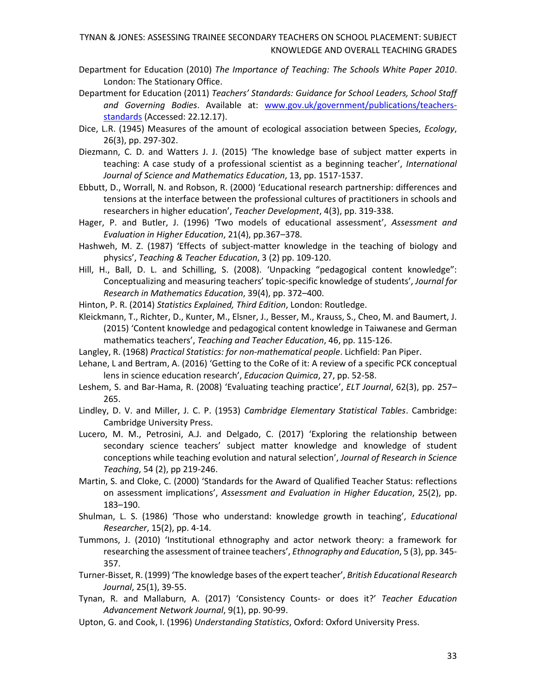- Department for Education (2010) *The Importance of Teaching: The Schools White Paper 2010*. London: The Stationary Office.
- Department for Education (2011) *Teachers' Standards: Guidance for School Leaders, School Staff and Governing Bodies*. Available at: [www.gov.uk/government/publications/teachers](http://www.gov.uk/government/publications/teachers-standards)[standards](http://www.gov.uk/government/publications/teachers-standards) (Accessed: 22.12.17).
- Dice, L.R. (1945) Measures of the amount of ecological association between Species, *Ecology*, 26(3), pp. 297-302.
- Diezmann, C. D. and Watters J. J. (2015) 'The knowledge base of subject matter experts in teaching: A case study of a professional scientist as a beginning teacher', *International Journal of Science and Mathematics Education*, 13, pp. 1517-1537.
- Ebbutt, D., Worrall, N. and Robson, R. (2000) 'Educational research partnership: differences and tensions at the interface between the professional cultures of practitioners in schools and researchers in higher education', *Teacher Development*, 4(3), pp. 319-338.
- Hager, P. and Butler, J. (1996) 'Two models of educational assessment', *Assessment and Evaluation in Higher Education*, 21(4), pp.367–378.
- Hashweh, M. Z. (1987) 'Effects of subject-matter knowledge in the teaching of biology and physics', *Teaching & Teacher Education*, 3 (2) pp. 109-120.
- Hill, H., Ball, D. L. and Schilling, S. (2008). 'Unpacking "pedagogical content knowledge": Conceptualizing and measuring teachers' topic-specific knowledge of students', *Journal for Research in Mathematics Education*, 39(4), pp. 372–400.
- Hinton, P. R. (2014) *Statistics Explained, Third Edition*, London: Routledge.
- Kleickmann, T., Richter, D., Kunter, M., Elsner, J., Besser, M., Krauss, S., Cheo, M. and Baumert, J. (2015) 'Content knowledge and pedagogical content knowledge in Taiwanese and German mathematics teachers', *Teaching and Teacher Education*, 46, pp. 115-126.
- Langley, R. (1968) *Practical Statistics: for non-mathematical people*. Lichfield: Pan Piper.
- Lehane, L and Bertram, A. (2016) 'Getting to the CoRe of it: A review of a specific PCK conceptual lens in science education research', *Educacion Quimica*, 27, pp. 52-58.
- Leshem, S. and Bar-Hama, R. (2008) 'Evaluating teaching practice', *ELT Journal*, 62(3), pp. 257– 265.
- Lindley, D. V. and Miller, J. C. P. (1953) *Cambridge Elementary Statistical Tables*. Cambridge: Cambridge University Press.
- Lucero, M. M., Petrosini, A.J. and Delgado, C. (2017) 'Exploring the relationship between secondary science teachers' subject matter knowledge and knowledge of student conceptions while teaching evolution and natural selection', *Journal of Research in Science Teaching*, 54 (2), pp 219-246.
- Martin, S. and Cloke, C. (2000) 'Standards for the Award of Qualified Teacher Status: reflections on assessment implications', *Assessment and Evaluation in Higher Education*, 25(2), pp. 183–190.
- Shulman, L. S. (1986) 'Those who understand: knowledge growth in teaching', *Educational Researcher*, 15(2), pp. 4-14.
- Tummons, J. (2010) 'Institutional ethnography and actor network theory: a framework for researching the assessment of trainee teachers', *Ethnography and Education*, 5 (3), pp. 345- 357.
- Turner-Bisset, R. (1999) 'The knowledge bases of the expert teacher', *British Educational Research Journal*, 25(1), 39-55.
- Tynan, R. and Mallaburn, A. (2017) 'Consistency Counts- or does it?' *Teacher Education Advancement Network Journal*, 9(1), pp. 90-99.
- Upton, G. and Cook, I. (1996) *Understanding Statistics*, Oxford: Oxford University Press.